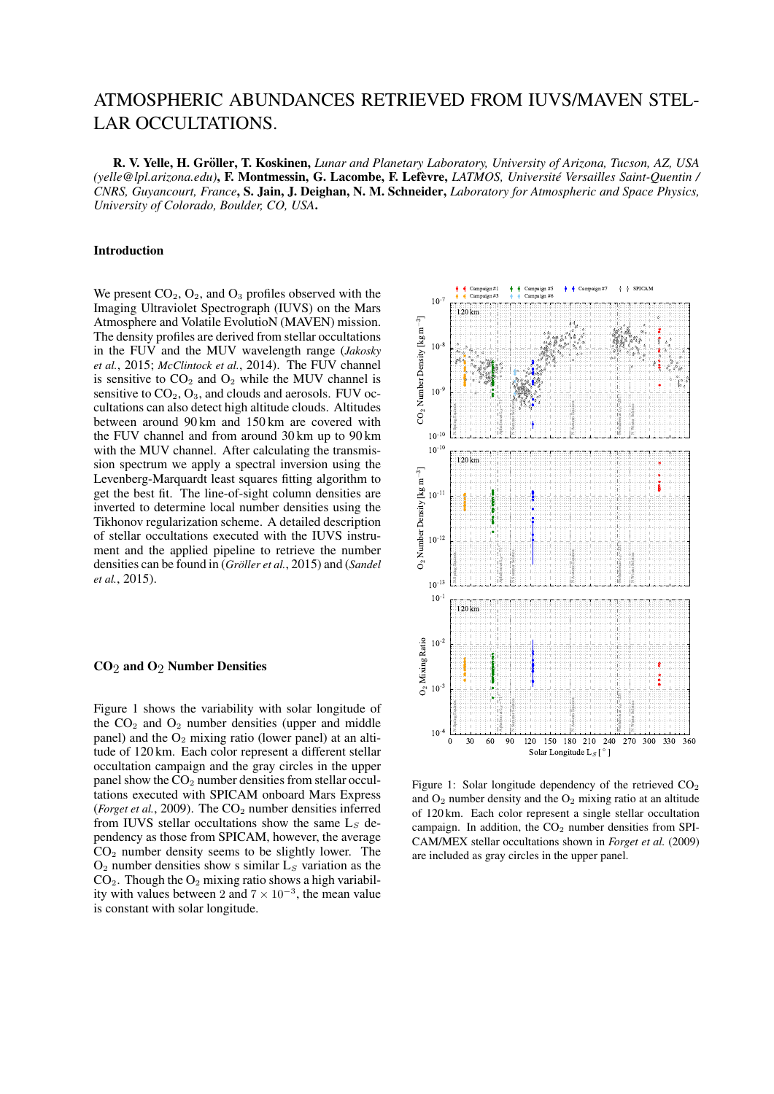# ATMOSPHERIC ABUNDANCES RETRIEVED FROM IUVS/MAVEN STEL-LAR OCCULTATIONS.

R. V. Yelle, H. Gröller, T. Koskinen, Lunar and Planetary Laboratory, University of Arizona, Tucson, AZ, USA *(yelle@lpl.arizona.edu)*, F. Montmessin, G. Lacombe, F. Lefevre, ` *LATMOS, Universite Versailles Saint-Quentin / ´ CNRS, Guyancourt, France*, S. Jain, J. Deighan, N. M. Schneider, *Laboratory for Atmospheric and Space Physics, University of Colorado, Boulder, CO, USA*.

# Introduction

We present  $CO<sub>2</sub>$ ,  $O<sub>2</sub>$ , and  $O<sub>3</sub>$  profiles observed with the Imaging Ultraviolet Spectrograph (IUVS) on the Mars Atmosphere and Volatile EvolutioN (MAVEN) mission. The density profiles are derived from stellar occultations in the FUV and the MUV wavelength range (*Jakosky et al.*, 2015; *McClintock et al.*, 2014). The FUV channel is sensitive to  $CO<sub>2</sub>$  and  $O<sub>2</sub>$  while the MUV channel is sensitive to  $CO<sub>2</sub>$ ,  $O<sub>3</sub>$ , and clouds and aerosols. FUV occultations can also detect high altitude clouds. Altitudes between around 90 km and 150 km are covered with the FUV channel and from around 30 km up to 90 km with the MUV channel. After calculating the transmission spectrum we apply a spectral inversion using the Levenberg-Marquardt least squares fitting algorithm to get the best fit. The line-of-sight column densities are inverted to determine local number densities using the Tikhonov regularization scheme. A detailed description of stellar occultations executed with the IUVS instrument and the applied pipeline to retrieve the number densities can be found in (*Gröller et al.*, 2015) and (*Sandel et al.*, 2015).

## CO2 and O2 Number Densities

Figure 1 shows the variability with solar longitude of the  $CO<sub>2</sub>$  and  $O<sub>2</sub>$  number densities (upper and middle panel) and the  $O_2$  mixing ratio (lower panel) at an altitude of 120 km. Each color represent a different stellar occultation campaign and the gray circles in the upper panel show the CO<sub>2</sub> number densities from stellar occultations executed with SPICAM onboard Mars Express (*Forget et al.*, 2009). The  $CO<sub>2</sub>$  number densities inferred from IUVS stellar occultations show the same  $L_S$  dependency as those from SPICAM, however, the average CO<sup>2</sup> number density seems to be slightly lower. The  $O<sub>2</sub>$  number densities show s similar  $L<sub>S</sub>$  variation as the  $CO<sub>2</sub>$ . Though the  $O<sub>2</sub>$  mixing ratio shows a high variability with values between 2 and  $7 \times 10^{-3}$ , the mean value is constant with solar longitude.



Figure 1: Solar longitude dependency of the retrieved  $CO<sub>2</sub>$ and  $O_2$  number density and the  $O_2$  mixing ratio at an altitude of 120 km. Each color represent a single stellar occultation campaign. In addition, the  $CO<sub>2</sub>$  number densities from SPI-CAM/MEX stellar occultations shown in *Forget et al.* (2009) are included as gray circles in the upper panel.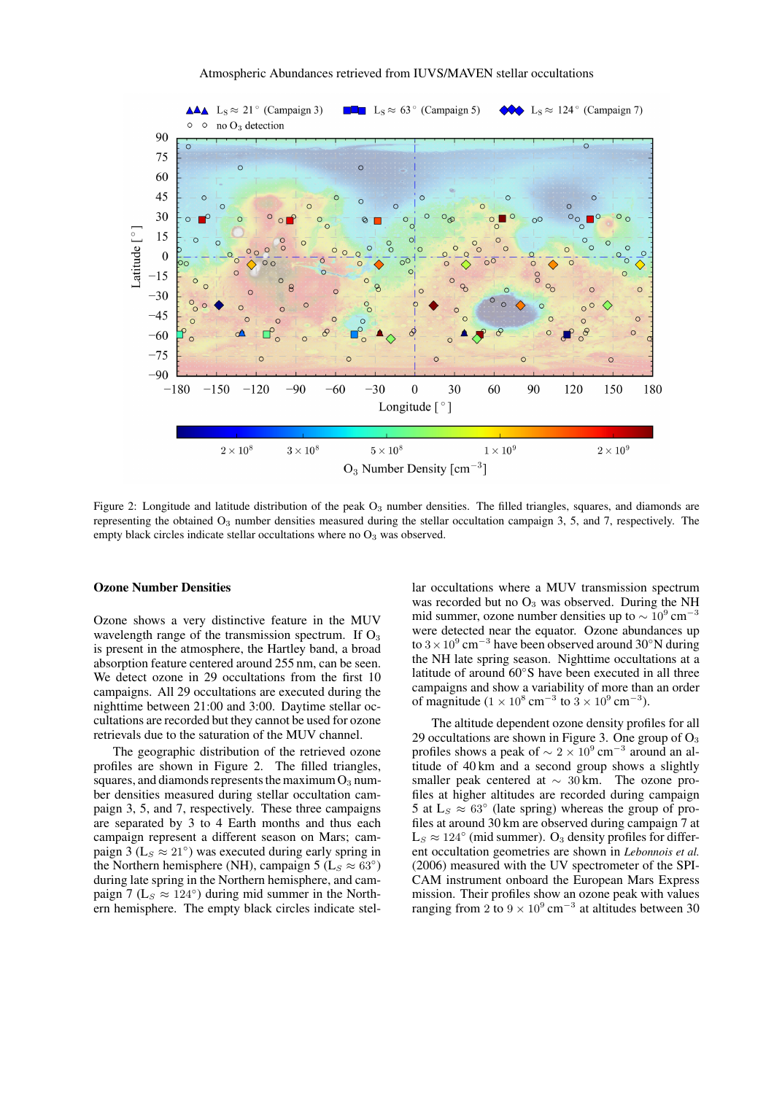

Figure 2: Longitude and latitude distribution of the peak  $O_3$  number densities. The filled triangles, squares, and diamonds are representing the obtained  $O_3$  number densities measured during the stellar occultation campaign 3, 5, and 7, respectively. The empty black circles indicate stellar occultations where no  $O_3$  was observed.

# Ozone Number Densities

Ozone shows a very distinctive feature in the MUV wavelength range of the transmission spectrum. If  $O_3$ is present in the atmosphere, the Hartley band, a broad absorption feature centered around 255 nm, can be seen. We detect ozone in 29 occultations from the first 10 campaigns. All 29 occultations are executed during the nighttime between 21:00 and 3:00. Daytime stellar occultations are recorded but they cannot be used for ozone retrievals due to the saturation of the MUV channel.

The geographic distribution of the retrieved ozone profiles are shown in Figure 2. The filled triangles, squares, and diamonds represents the maximum  $O_3$  number densities measured during stellar occultation campaign 3, 5, and 7, respectively. These three campaigns are separated by 3 to 4 Earth months and thus each campaign represent a different season on Mars; campaign 3 ( $L_s \approx 21°$ ) was executed during early spring in the Northern hemisphere (NH), campaign 5 ( $L_s \approx 63^\circ$ ) during late spring in the Northern hemisphere, and campaign 7 ( $L_s \approx 124^\circ$ ) during mid summer in the Northern hemisphere. The empty black circles indicate stellar occultations where a MUV transmission spectrum was recorded but no  $O_3$  was observed. During the NH mid summer, ozone number densities up to  $\sim 10^9$  cm<sup>-3</sup> were detected near the equator. Ozone abundances up to  $3 \times 10^9$  cm<sup>-3</sup> have been observed around 30°N during the NH late spring season. Nighttime occultations at a latitude of around 60◦S have been executed in all three campaigns and show a variability of more than an order of magnitude ( $1 \times 10^8$  cm<sup>-3</sup> to  $3 \times 10^9$  cm<sup>-3</sup>).

The altitude dependent ozone density profiles for all 29 occultations are shown in Figure 3. One group of  $O_3$ profiles shows a peak of  $\sim 2 \times 10^9$  cm<sup>-3</sup> around an altitude of 40 km and a second group shows a slightly smaller peak centered at  $\sim$  30 km. The ozone profiles at higher altitudes are recorded during campaign 5 at  $L_s \approx 63^\circ$  (late spring) whereas the group of profiles at around 30 km are observed during campaign 7 at  $L_S \approx 124^\circ$  (mid summer). O<sub>3</sub> density profiles for different occultation geometries are shown in *Lebonnois et al.* (2006) measured with the UV spectrometer of the SPI-CAM instrument onboard the European Mars Express mission. Their profiles show an ozone peak with values ranging from 2 to  $9 \times 10^9$  cm<sup>-3</sup> at altitudes between 30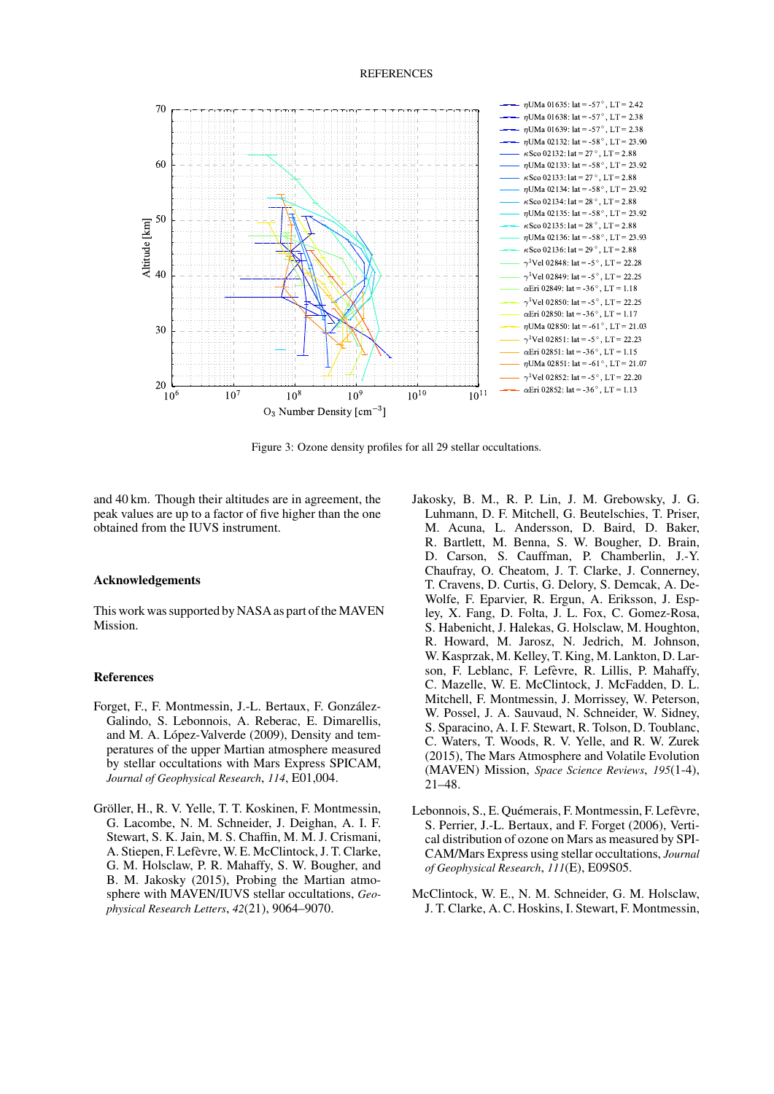#### **REFERENCES**



Figure 3: Ozone density profiles for all 29 stellar occultations.

and 40 km. Though their altitudes are in agreement, the peak values are up to a factor of five higher than the one obtained from the IUVS instrument.

### **Acknowledgements**

This work was supported by NASA as part of the MAVEN Mission.

#### **References**

- Forget, F., F. Montmessin, J.-L. Bertaux, F. González-Galindo, S. Lebonnois, A. Reberac, E. Dimarellis, and M. A. López-Valverde (2009), Density and temperatures of the upper Martian atmosphere measured by stellar occultations with Mars Express SPICAM, Journal of Geophysical Research, 114, E01,004.
- Gröller, H., R. V. Yelle, T. T. Koskinen, F. Montmessin, G. Lacombe, N. M. Schneider, J. Deighan, A. I. F. Stewart, S. K. Jain, M. S. Chaffin, M. M. J. Crismani, A. Stiepen, F. Lefèvre, W. E. McClintock, J. T. Clarke, G. M. Holsclaw, P. R. Mahaffy, S. W. Bougher, and B. M. Jakosky (2015), Probing the Martian atmosphere with MAVEN/IUVS stellar occultations, Geophysical Research Letters, 42(21), 9064-9070.
- Jakosky, B. M., R. P. Lin, J. M. Grebowsky, J. G. Luhmann, D. F. Mitchell, G. Beutelschies, T. Priser, M. Acuna, L. Andersson, D. Baird, D. Baker, R. Bartlett, M. Benna, S. W. Bougher, D. Brain, D. Carson, S. Cauffman, P. Chamberlin, J.-Y. Chaufray, O. Cheatom, J. T. Clarke, J. Connerney, T. Cravens, D. Curtis, G. Delory, S. Demcak, A. De-Wolfe, F. Eparvier, R. Ergun, A. Eriksson, J. Espley, X. Fang, D. Folta, J. L. Fox, C. Gomez-Rosa, S. Habenicht, J. Halekas, G. Holsclaw, M. Houghton, R. Howard, M. Jarosz, N. Jedrich, M. Johnson, W. Kasprzak, M. Kelley, T. King, M. Lankton, D. Larson, F. Leblanc, F. Lefèvre, R. Lillis, P. Mahaffy, C. Mazelle, W. E. McClintock, J. McFadden, D. L. Mitchell, F. Montmessin, J. Morrissey, W. Peterson, W. Possel, J. A. Sauvaud, N. Schneider, W. Sidney, S. Sparacino, A. I. F. Stewart, R. Tolson, D. Toublanc, C. Waters, T. Woods, R. V. Yelle, and R. W. Zurek (2015), The Mars Atmosphere and Volatile Evolution (MAVEN) Mission, Space Science Reviews, 195(1-4),  $21 - 48$ .
- Lebonnois, S., E. Quémerais, F. Montmessin, F. Lefèvre, S. Perrier, J.-L. Bertaux, and F. Forget (2006), Vertical distribution of ozone on Mars as measured by SPI-CAM/Mars Express using stellar occultations, Journal of Geophysical Research, 111(E), E09S05.
- McClintock, W. E., N. M. Schneider, G. M. Holsclaw, J. T. Clarke, A. C. Hoskins, I. Stewart, F. Montmessin,